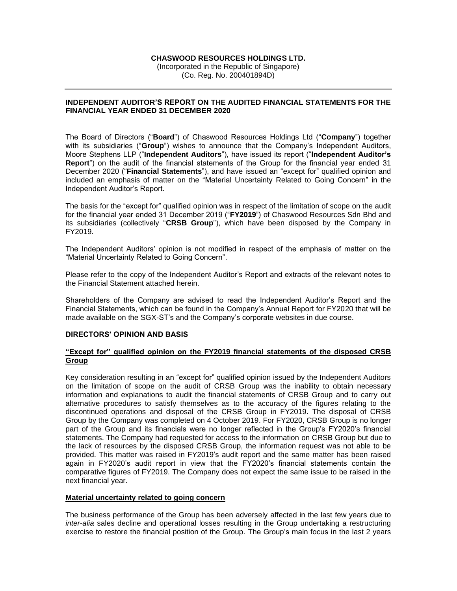### **CHASWOOD RESOURCES HOLDINGS LTD.**

(Incorporated in the Republic of Singapore) (Co. Reg. No. 200401894D)

### **INDEPENDENT AUDITOR'S REPORT ON THE AUDITED FINANCIAL STATEMENTS FOR THE FINANCIAL YEAR ENDED 31 DECEMBER 2020**

The Board of Directors ("**Board**") of Chaswood Resources Holdings Ltd ("**Company**") together with its subsidiaries ("**Group**") wishes to announce that the Company's Independent Auditors, Moore Stephens LLP ("**Independent Auditors**"), have issued its report ("**Independent Auditor's Report**") on the audit of the financial statements of the Group for the financial year ended 31 December 2020 ("**Financial Statements**"), and have issued an "except for" qualified opinion and included an emphasis of matter on the "Material Uncertainty Related to Going Concern" in the Independent Auditor's Report.

The basis for the "except for" qualified opinion was in respect of the limitation of scope on the audit for the financial year ended 31 December 2019 ("**FY2019**") of Chaswood Resources Sdn Bhd and its subsidiaries (collectively "**CRSB Group**"), which have been disposed by the Company in FY2019.

The Independent Auditors' opinion is not modified in respect of the emphasis of matter on the "Material Uncertainty Related to Going Concern".

Please refer to the copy of the Independent Auditor's Report and extracts of the relevant notes to the Financial Statement attached herein.

Shareholders of the Company are advised to read the Independent Auditor's Report and the Financial Statements, which can be found in the Company's Annual Report for FY2020 that will be made available on the SGX-ST's and the Company's corporate websites in due course.

## **DIRECTORS' OPINION AND BASIS**

### **"Except for" qualified opinion on the FY2019 financial statements of the disposed CRSB Group**

Key consideration resulting in an "except for" qualified opinion issued by the Independent Auditors on the limitation of scope on the audit of CRSB Group was the inability to obtain necessary information and explanations to audit the financial statements of CRSB Group and to carry out alternative procedures to satisfy themselves as to the accuracy of the figures relating to the discontinued operations and disposal of the CRSB Group in FY2019. The disposal of CRSB Group by the Company was completed on 4 October 2019. For FY2020, CRSB Group is no longer part of the Group and its financials were no longer reflected in the Group's FY2020's financial statements. The Company had requested for access to the information on CRSB Group but due to the lack of resources by the disposed CRSB Group, the information request was not able to be provided. This matter was raised in FY2019's audit report and the same matter has been raised again in FY2020's audit report in view that the FY2020's financial statements contain the comparative figures of FY2019. The Company does not expect the same issue to be raised in the next financial year.

#### **Material uncertainty related to going concern**

The business performance of the Group has been adversely affected in the last few years due to *inter-alia* sales decline and operational losses resulting in the Group undertaking a restructuring exercise to restore the financial position of the Group. The Group's main focus in the last 2 years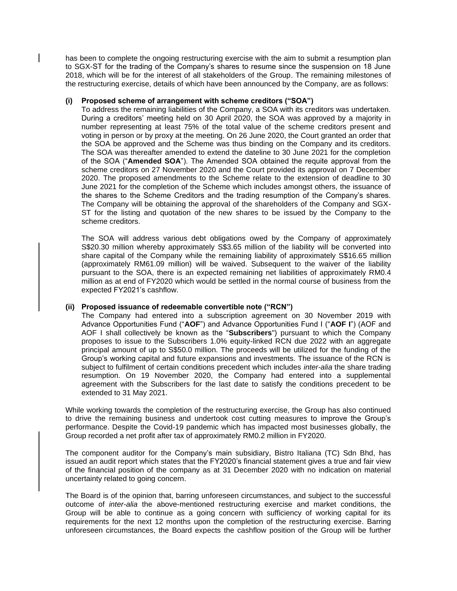has been to complete the ongoing restructuring exercise with the aim to submit a resumption plan to SGX-ST for the trading of the Company's shares to resume since the suspension on 18 June 2018, which will be for the interest of all stakeholders of the Group. The remaining milestones of the restructuring exercise, details of which have been announced by the Company, are as follows:

### **(i) Proposed scheme of arrangement with scheme creditors ("SOA")**

To address the remaining liabilities of the Company, a SOA with its creditors was undertaken. During a creditors' meeting held on 30 April 2020, the SOA was approved by a majority in number representing at least 75% of the total value of the scheme creditors present and voting in person or by proxy at the meeting. On 26 June 2020, the Court granted an order that the SOA be approved and the Scheme was thus binding on the Company and its creditors. The SOA was thereafter amended to extend the dateline to 30 June 2021 for the completion of the SOA ("**Amended SOA**"). The Amended SOA obtained the requite approval from the scheme creditors on 27 November 2020 and the Court provided its approval on 7 December 2020. The proposed amendments to the Scheme relate to the extension of deadline to 30 June 2021 for the completion of the Scheme which includes amongst others, the issuance of the shares to the Scheme Creditors and the trading resumption of the Company's shares. The Company will be obtaining the approval of the shareholders of the Company and SGX-ST for the listing and quotation of the new shares to be issued by the Company to the scheme creditors.

The SOA will address various debt obligations owed by the Company of approximately S\$20.30 million whereby approximately S\$3.65 million of the liability will be converted into share capital of the Company while the remaining liability of approximately S\$16.65 million (approximately RM61.09 million) will be waived. Subsequent to the waiver of the liability pursuant to the SOA, there is an expected remaining net liabilities of approximately RM0.4 million as at end of FY2020 which would be settled in the normal course of business from the expected FY2021's cashflow.

### **(ii) Proposed issuance of redeemable convertible note ("RCN")**

The Company had entered into a subscription agreement on 30 November 2019 with Advance Opportunities Fund ("**AOF**") and Advance Opportunities Fund I ("**AOF I**") (AOF and AOF I shall collectively be known as the "**Subscribers**") pursuant to which the Company proposes to issue to the Subscribers 1.0% equity-linked RCN due 2022 with an aggregate principal amount of up to S\$50.0 million. The proceeds will be utilized for the funding of the Group's working capital and future expansions and investments. The issuance of the RCN is subject to fulfilment of certain conditions precedent which includes *inter-alia* the share trading resumption. On 19 November 2020, the Company had entered into a supplemental agreement with the Subscribers for the last date to satisfy the conditions precedent to be extended to 31 May 2021.

While working towards the completion of the restructuring exercise, the Group has also continued to drive the remaining business and undertook cost cutting measures to improve the Group's performance. Despite the Covid-19 pandemic which has impacted most businesses globally, the Group recorded a net profit after tax of approximately RM0.2 million in FY2020.

The component auditor for the Company's main subsidiary, Bistro Italiana (TC) Sdn Bhd, has issued an audit report which states that the FY2020's financial statement gives a true and fair view of the financial position of the company as at 31 December 2020 with no indication on material uncertainty related to going concern.

The Board is of the opinion that, barring unforeseen circumstances, and subject to the successful outcome of *inter-alia* the above-mentioned restructuring exercise and market conditions, the Group will be able to continue as a going concern with sufficiency of working capital for its requirements for the next 12 months upon the completion of the restructuring exercise. Barring unforeseen circumstances, the Board expects the cashflow position of the Group will be further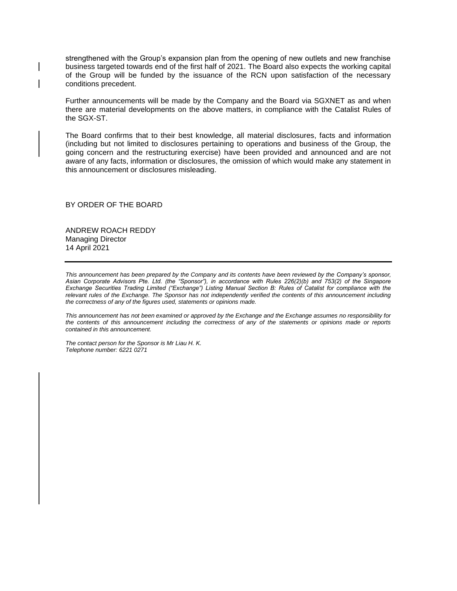strengthened with the Group's expansion plan from the opening of new outlets and new franchise business targeted towards end of the first half of 2021. The Board also expects the working capital of the Group will be funded by the issuance of the RCN upon satisfaction of the necessary conditions precedent.

Further announcements will be made by the Company and the Board via SGXNET as and when there are material developments on the above matters, in compliance with the Catalist Rules of the SGX-ST.

The Board confirms that to their best knowledge, all material disclosures, facts and information (including but not limited to disclosures pertaining to operations and business of the Group, the going concern and the restructuring exercise) have been provided and announced and are not aware of any facts, information or disclosures, the omission of which would make any statement in this announcement or disclosures misleading.

BY ORDER OF THE BOARD

ANDREW ROACH REDDY Managing Director 14 April 2021

*This announcement has been prepared by the Company and its contents have been reviewed by the Company's sponsor, Asian Corporate Advisors Pte. Ltd. (the "Sponsor"), in accordance with Rules 226(2)(b) and 753(2) of the Singapore Exchange Securities Trading Limited ("Exchange") Listing Manual Section B: Rules of Catalist for compliance with the relevant rules of the Exchange. The Sponsor has not independently verified the contents of this announcement including the correctness of any of the figures used, statements or opinions made.*

*This announcement has not been examined or approved by the Exchange and the Exchange assumes no responsibility for the contents of this announcement including the correctness of any of the statements or opinions made or reports contained in this announcement.* 

*The contact person for the Sponsor is Mr Liau H. K. Telephone number: 6221 0271*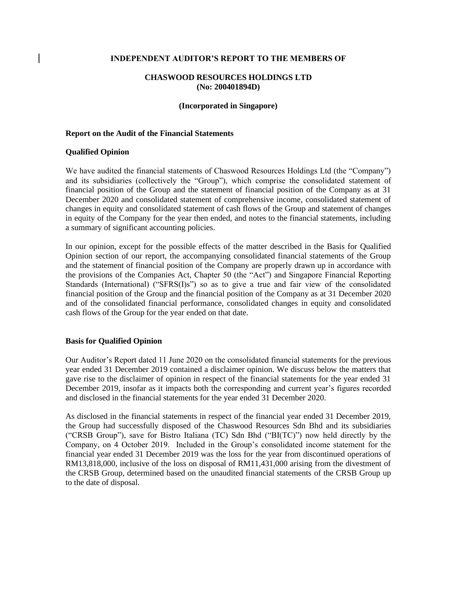## **CHASWOOD RESOURCES HOLDINGS LTD (No: 200401894D)**

#### **(Incorporated in Singapore)**

#### **Report on the Audit of the Financial Statements**

### **Qualified Opinion**

We have audited the financial statements of Chaswood Resources Holdings Ltd (the "Company") and its subsidiaries (collectively the "Group"), which comprise the consolidated statement of financial position of the Group and the statement of financial position of the Company as at 31 December 2020 and consolidated statement of comprehensive income, consolidated statement of changes in equity and consolidated statement of cash flows of the Group and statement of changes in equity of the Company for the year then ended, and notes to the financial statements, including a summary of significant accounting policies.

In our opinion, except for the possible effects of the matter described in the Basis for Qualified Opinion section of our report, the accompanying consolidated financial statements of the Group and the statement of financial position of the Company are properly drawn up in accordance with the provisions of the Companies Act, Chapter 50 (the "Act") and Singapore Financial Reporting Standards (International) ("SFRS(I)s") so as to give a true and fair view of the consolidated financial position of the Group and the financial position of the Company as at 31 December 2020 and of the consolidated financial performance, consolidated changes in equity and consolidated cash flows of the Group for the year ended on that date.

### **Basis for Qualified Opinion**

Our Auditor's Report dated 11 June 2020 on the consolidated financial statements for the previous year ended 31 December 2019 contained a disclaimer opinion. We discuss below the matters that gave rise to the disclaimer of opinion in respect of the financial statements for the year ended 31 December 2019, insofar as it impacts both the corresponding and current year's figures recorded and disclosed in the financial statements for the year ended 31 December 2020.

As disclosed in the financial statements in respect of the financial year ended 31 December 2019, the Group had successfully disposed of the Chaswood Resources Sdn Bhd and its subsidiaries ("CRSB Group"), save for Bistro Italiana (TC) Sdn Bhd ("BI(TC)") now held directly by the Company, on 4 October 2019. Included in the Group's consolidated income statement for the financial year ended 31 December 2019 was the loss for the year from discontinued operations of RM13,818,000, inclusive of the loss on disposal of RM11,431,000 arising from the divestment of the CRSB Group, determined based on the unaudited financial statements of the CRSB Group up to the date of disposal.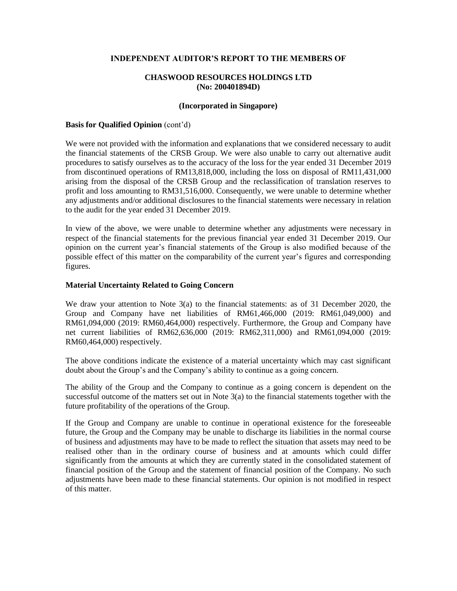# **CHASWOOD RESOURCES HOLDINGS LTD (No: 200401894D)**

### **(Incorporated in Singapore)**

#### **Basis for Qualified Opinion** (cont'd)

We were not provided with the information and explanations that we considered necessary to audit the financial statements of the CRSB Group. We were also unable to carry out alternative audit procedures to satisfy ourselves as to the accuracy of the loss for the year ended 31 December 2019 from discontinued operations of RM13,818,000, including the loss on disposal of RM11,431,000 arising from the disposal of the CRSB Group and the reclassification of translation reserves to profit and loss amounting to RM31,516,000. Consequently, we were unable to determine whether any adjustments and/or additional disclosures to the financial statements were necessary in relation to the audit for the year ended 31 December 2019.

In view of the above, we were unable to determine whether any adjustments were necessary in respect of the financial statements for the previous financial year ended 31 December 2019. Our opinion on the current year's financial statements of the Group is also modified because of the possible effect of this matter on the comparability of the current year's figures and corresponding figures.

#### **Material Uncertainty Related to Going Concern**

We draw your attention to Note 3(a) to the financial statements: as of 31 December 2020, the Group and Company have net liabilities of RM61,466,000 (2019: RM61,049,000) and RM61,094,000 (2019: RM60,464,000) respectively. Furthermore, the Group and Company have net current liabilities of RM62,636,000 (2019: RM62,311,000) and RM61,094,000 (2019: RM60,464,000) respectively.

The above conditions indicate the existence of a material uncertainty which may cast significant doubt about the Group's and the Company's ability to continue as a going concern.

The ability of the Group and the Company to continue as a going concern is dependent on the successful outcome of the matters set out in Note 3(a) to the financial statements together with the future profitability of the operations of the Group.

If the Group and Company are unable to continue in operational existence for the foreseeable future, the Group and the Company may be unable to discharge its liabilities in the normal course of business and adjustments may have to be made to reflect the situation that assets may need to be realised other than in the ordinary course of business and at amounts which could differ significantly from the amounts at which they are currently stated in the consolidated statement of financial position of the Group and the statement of financial position of the Company. No such adjustments have been made to these financial statements. Our opinion is not modified in respect of this matter.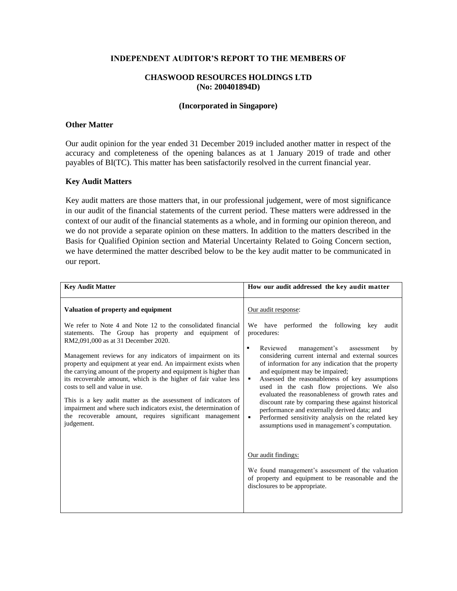# **CHASWOOD RESOURCES HOLDINGS LTD (No: 200401894D)**

### **(Incorporated in Singapore)**

### **Other Matter**

Our audit opinion for the year ended 31 December 2019 included another matter in respect of the accuracy and completeness of the opening balances as at 1 January 2019 of trade and other payables of BI(TC). This matter has been satisfactorily resolved in the current financial year.

### **Key Audit Matters**

Key audit matters are those matters that, in our professional judgement, were of most significance in our audit of the financial statements of the current period. These matters were addressed in the context of our audit of the financial statements as a whole, and in forming our opinion thereon, and we do not provide a separate opinion on these matters. In addition to the matters described in the Basis for Qualified Opinion section and Material Uncertainty Related to Going Concern section, we have determined the matter described below to be the key audit matter to be communicated in our report.

| <b>Key Audit Matter</b>                                                                                                                                                                                                                                                                                                                                                                                                                                                                                                                                                                                                                                                                                                 | How our audit addressed the key audit matter                                                                                                                                                                                                                                                                                                                                                                                                                                                                                                                                                                                                                     |
|-------------------------------------------------------------------------------------------------------------------------------------------------------------------------------------------------------------------------------------------------------------------------------------------------------------------------------------------------------------------------------------------------------------------------------------------------------------------------------------------------------------------------------------------------------------------------------------------------------------------------------------------------------------------------------------------------------------------------|------------------------------------------------------------------------------------------------------------------------------------------------------------------------------------------------------------------------------------------------------------------------------------------------------------------------------------------------------------------------------------------------------------------------------------------------------------------------------------------------------------------------------------------------------------------------------------------------------------------------------------------------------------------|
| Valuation of property and equipment<br>We refer to Note 4 and Note 12 to the consolidated financial<br>statements. The Group has property and equipment of<br>RM2,091,000 as at 31 December 2020.<br>Management reviews for any indicators of impairment on its<br>property and equipment at year end. An impairment exists when<br>the carrying amount of the property and equipment is higher than<br>its recoverable amount, which is the higher of fair value less<br>costs to sell and value in use.<br>This is a key audit matter as the assessment of indicators of<br>impairment and where such indicators exist, the determination of<br>the recoverable amount, requires significant management<br>judgement. | Our audit response:<br>We have performed the following key<br>audit<br>procedures:<br>Reviewed<br>management's<br>٠<br>assessment<br>by<br>considering current internal and external sources<br>of information for any indication that the property<br>and equipment may be impaired;<br>Assessed the reasonableness of key assumptions<br>٠<br>used in the cash flow projections. We also<br>evaluated the reasonableness of growth rates and<br>discount rate by comparing these against historical<br>performance and externally derived data; and<br>Performed sensitivity analysis on the related key<br>٠<br>assumptions used in management's computation. |
|                                                                                                                                                                                                                                                                                                                                                                                                                                                                                                                                                                                                                                                                                                                         | Our audit findings:<br>We found management's assessment of the valuation<br>of property and equipment to be reasonable and the<br>disclosures to be appropriate.                                                                                                                                                                                                                                                                                                                                                                                                                                                                                                 |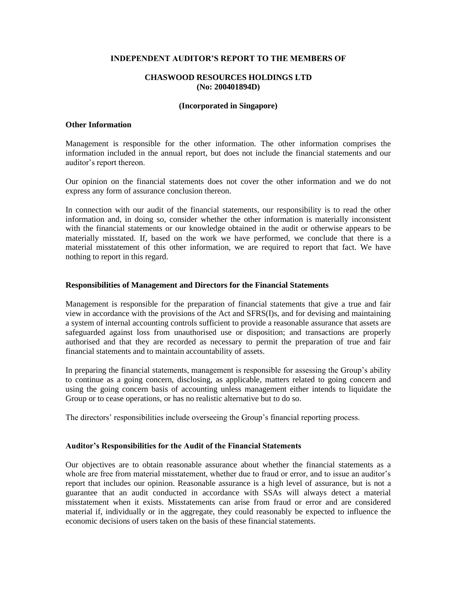# **CHASWOOD RESOURCES HOLDINGS LTD (No: 200401894D)**

### **(Incorporated in Singapore)**

# **Other Information**

Management is responsible for the other information. The other information comprises the information included in the annual report, but does not include the financial statements and our auditor's report thereon.

Our opinion on the financial statements does not cover the other information and we do not express any form of assurance conclusion thereon.

In connection with our audit of the financial statements, our responsibility is to read the other information and, in doing so, consider whether the other information is materially inconsistent with the financial statements or our knowledge obtained in the audit or otherwise appears to be materially misstated. If, based on the work we have performed, we conclude that there is a material misstatement of this other information, we are required to report that fact. We have nothing to report in this regard.

# **Responsibilities of Management and Directors for the Financial Statements**

Management is responsible for the preparation of financial statements that give a true and fair view in accordance with the provisions of the Act and SFRS(I)s, and for devising and maintaining a system of internal accounting controls sufficient to provide a reasonable assurance that assets are safeguarded against loss from unauthorised use or disposition; and transactions are properly authorised and that they are recorded as necessary to permit the preparation of true and fair financial statements and to maintain accountability of assets.

In preparing the financial statements, management is responsible for assessing the Group's ability to continue as a going concern, disclosing, as applicable, matters related to going concern and using the going concern basis of accounting unless management either intends to liquidate the Group or to cease operations, or has no realistic alternative but to do so.

The directors' responsibilities include overseeing the Group's financial reporting process.

# **Auditor's Responsibilities for the Audit of the Financial Statements**

Our objectives are to obtain reasonable assurance about whether the financial statements as a whole are free from material misstatement, whether due to fraud or error, and to issue an auditor's report that includes our opinion. Reasonable assurance is a high level of assurance, but is not a guarantee that an audit conducted in accordance with SSAs will always detect a material misstatement when it exists. Misstatements can arise from fraud or error and are considered material if, individually or in the aggregate, they could reasonably be expected to influence the economic decisions of users taken on the basis of these financial statements.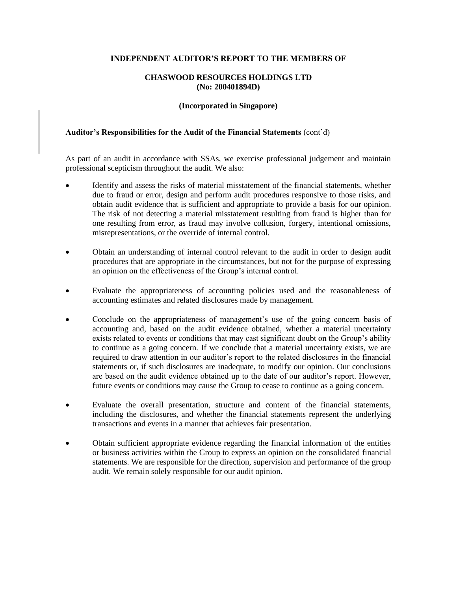# **CHASWOOD RESOURCES HOLDINGS LTD (No: 200401894D)**

### **(Incorporated in Singapore)**

## **Auditor's Responsibilities for the Audit of the Financial Statements** (cont'd)

As part of an audit in accordance with SSAs, we exercise professional judgement and maintain professional scepticism throughout the audit. We also:

- Identify and assess the risks of material misstatement of the financial statements, whether due to fraud or error, design and perform audit procedures responsive to those risks, and obtain audit evidence that is sufficient and appropriate to provide a basis for our opinion. The risk of not detecting a material misstatement resulting from fraud is higher than for one resulting from error, as fraud may involve collusion, forgery, intentional omissions, misrepresentations, or the override of internal control.
- Obtain an understanding of internal control relevant to the audit in order to design audit procedures that are appropriate in the circumstances, but not for the purpose of expressing an opinion on the effectiveness of the Group's internal control.
- Evaluate the appropriateness of accounting policies used and the reasonableness of accounting estimates and related disclosures made by management.
- Conclude on the appropriateness of management's use of the going concern basis of accounting and, based on the audit evidence obtained, whether a material uncertainty exists related to events or conditions that may cast significant doubt on the Group's ability to continue as a going concern. If we conclude that a material uncertainty exists, we are required to draw attention in our auditor's report to the related disclosures in the financial statements or, if such disclosures are inadequate, to modify our opinion. Our conclusions are based on the audit evidence obtained up to the date of our auditor's report. However, future events or conditions may cause the Group to cease to continue as a going concern.
- Evaluate the overall presentation, structure and content of the financial statements, including the disclosures, and whether the financial statements represent the underlying transactions and events in a manner that achieves fair presentation.
- Obtain sufficient appropriate evidence regarding the financial information of the entities or business activities within the Group to express an opinion on the consolidated financial statements. We are responsible for the direction, supervision and performance of the group audit. We remain solely responsible for our audit opinion.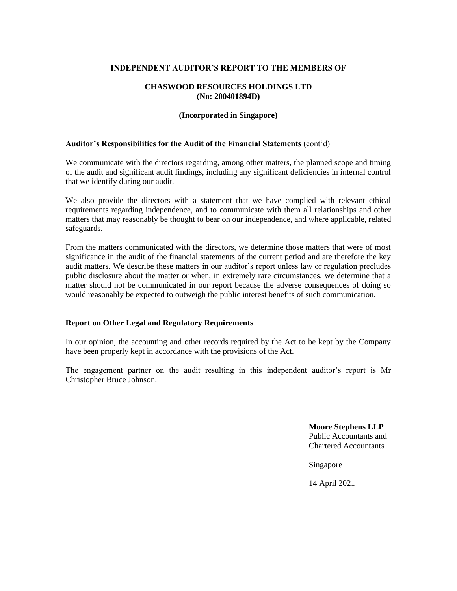# **CHASWOOD RESOURCES HOLDINGS LTD (No: 200401894D)**

# **(Incorporated in Singapore)**

### **Auditor's Responsibilities for the Audit of the Financial Statements** (cont'd)

We communicate with the directors regarding, among other matters, the planned scope and timing of the audit and significant audit findings, including any significant deficiencies in internal control that we identify during our audit.

We also provide the directors with a statement that we have complied with relevant ethical requirements regarding independence, and to communicate with them all relationships and other matters that may reasonably be thought to bear on our independence, and where applicable, related safeguards.

From the matters communicated with the directors, we determine those matters that were of most significance in the audit of the financial statements of the current period and are therefore the key audit matters. We describe these matters in our auditor's report unless law or regulation precludes public disclosure about the matter or when, in extremely rare circumstances, we determine that a matter should not be communicated in our report because the adverse consequences of doing so would reasonably be expected to outweigh the public interest benefits of such communication.

### **Report on Other Legal and Regulatory Requirements**

In our opinion, the accounting and other records required by the Act to be kept by the Company have been properly kept in accordance with the provisions of the Act.

The engagement partner on the audit resulting in this independent auditor's report is Mr Christopher Bruce Johnson.

> **Moore Stephens LLP** Public Accountants and Chartered Accountants

Singapore

14 April 2021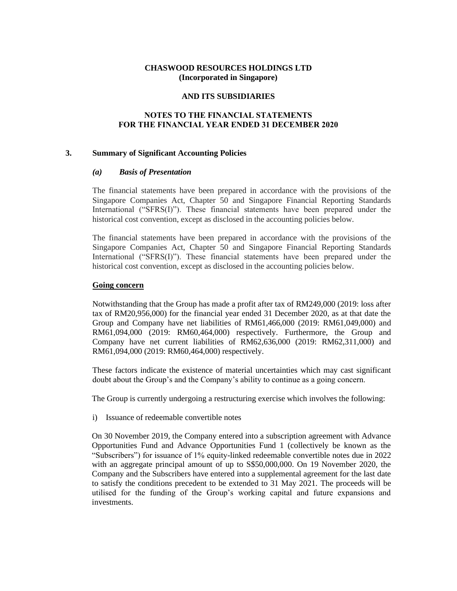# **CHASWOOD RESOURCES HOLDINGS LTD (Incorporated in Singapore)**

# **AND ITS SUBSIDIARIES**

# **NOTES TO THE FINANCIAL STATEMENTS FOR THE FINANCIAL YEAR ENDED 31 DECEMBER 2020**

### **3. Summary of Significant Accounting Policies**

### *(a) Basis of Presentation*

The financial statements have been prepared in accordance with the provisions of the Singapore Companies Act, Chapter 50 and Singapore Financial Reporting Standards International ("SFRS(I)"). These financial statements have been prepared under the historical cost convention, except as disclosed in the accounting policies below.

The financial statements have been prepared in accordance with the provisions of the Singapore Companies Act, Chapter 50 and Singapore Financial Reporting Standards International ("SFRS(I)"). These financial statements have been prepared under the historical cost convention, except as disclosed in the accounting policies below.

#### **Going concern**

Notwithstanding that the Group has made a profit after tax of RM249,000 (2019: loss after tax of RM20,956,000) for the financial year ended 31 December 2020, as at that date the Group and Company have net liabilities of RM61,466,000 (2019: RM61,049,000) and RM61,094,000 (2019: RM60,464,000) respectively. Furthermore, the Group and Company have net current liabilities of RM62,636,000 (2019: RM62,311,000) and RM61,094,000 (2019: RM60,464,000) respectively.

These factors indicate the existence of material uncertainties which may cast significant doubt about the Group's and the Company's ability to continue as a going concern.

The Group is currently undergoing a restructuring exercise which involves the following:

i) Issuance of redeemable convertible notes

On 30 November 2019, the Company entered into a subscription agreement with Advance Opportunities Fund and Advance Opportunities Fund 1 (collectively be known as the "Subscribers") for issuance of 1% equity-linked redeemable convertible notes due in 2022 with an aggregate principal amount of up to S\$50,000,000. On 19 November 2020, the Company and the Subscribers have entered into a supplemental agreement for the last date to satisfy the conditions precedent to be extended to 31 May 2021. The proceeds will be utilised for the funding of the Group's working capital and future expansions and investments.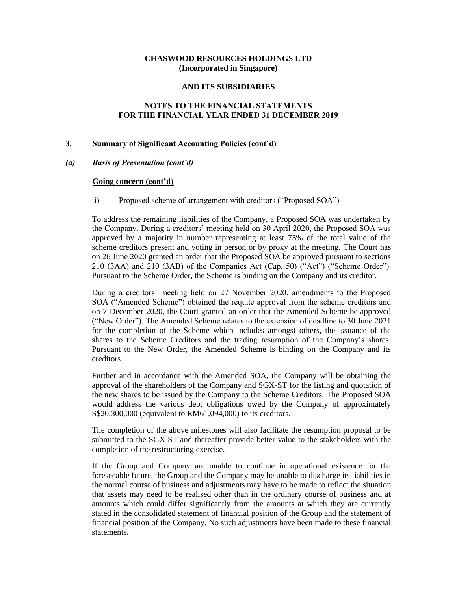## **CHASWOOD RESOURCES HOLDINGS LTD (Incorporated in Singapore)**

#### **AND ITS SUBSIDIARIES**

# **NOTES TO THE FINANCIAL STATEMENTS FOR THE FINANCIAL YEAR ENDED 31 DECEMBER 2019**

# **3. Summary of Significant Accounting Policies (cont'd)**

#### *(a) Basis of Presentation (cont'd)*

#### **Going concern (cont'd)**

ii) Proposed scheme of arrangement with creditors ("Proposed SOA")

To address the remaining liabilities of the Company, a Proposed SOA was undertaken by the Company. During a creditors' meeting held on 30 April 2020, the Proposed SOA was approved by a majority in number representing at least 75% of the total value of the scheme creditors present and voting in person or by proxy at the meeting. The Court has on 26 June 2020 granted an order that the Proposed SOA be approved pursuant to sections 210 (3AA) and 210 (3AB) of the Companies Act (Cap. 50) ("Act") ("Scheme Order"). Pursuant to the Scheme Order, the Scheme is binding on the Company and its creditor.

During a creditors' meeting held on 27 November 2020, amendments to the Proposed SOA ("Amended Scheme") obtained the requite approval from the scheme creditors and on 7 December 2020, the Court granted an order that the Amended Scheme be approved ("New Order"). The Amended Scheme relates to the extension of deadline to 30 June 2021 for the completion of the Scheme which includes amongst others, the issuance of the shares to the Scheme Creditors and the trading resumption of the Company's shares. Pursuant to the New Order, the Amended Scheme is binding on the Company and its creditors.

Further and in accordance with the Amended SOA, the Company will be obtaining the approval of the shareholders of the Company and SGX-ST for the listing and quotation of the new shares to be issued by the Company to the Scheme Creditors. The Proposed SOA would address the various debt obligations owed by the Company of approximately S\$20,300,000 (equivalent to RM61,094,000) to its creditors.

The completion of the above milestones will also facilitate the resumption proposal to be submitted to the SGX-ST and thereafter provide better value to the stakeholders with the completion of the restructuring exercise.

If the Group and Company are unable to continue in operational existence for the foreseeable future, the Group and the Company may be unable to discharge its liabilities in the normal course of business and adjustments may have to be made to reflect the situation that assets may need to be realised other than in the ordinary course of business and at amounts which could differ significantly from the amounts at which they are currently stated in the consolidated statement of financial position of the Group and the statement of financial position of the Company. No such adjustments have been made to these financial statements.